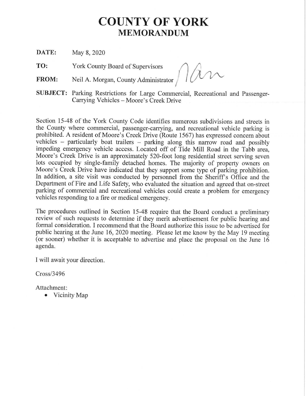## **COUNTY OF YORK MEMORANDUM**

**DATE:** May 8, 2020

**TO:** York County Board of Supervisors  $\bigcap$ 

**FROM:** Neil A. Morgan, County Administrator  $\int$   $\int$ 

**SUBJECT:** Parking Restrictions for Large Commercial, Recreational and Passenger-Carrying Vehicles - Moore's Creek Drive

Section 15-48 of the York County Code identifies numerous subdivisions and streets in the County where commercial, passenger-carrying, and recreational vehicle parking is prohibited. A resident of Moore's Creek Drive (Route 1567) has expressed concern about vehicles  $-$  particularly boat trailers  $-$  parking along this narrow road and possibly impeding emergency vehicle access. Located off of Tide Mill Road in the Tabb area, Moore's Creek Drive is an approximately 520-foot long residential street serving seven lots occupied by single-family detached homes. The majority of property owners on Moore's Creek Drive have indicated that they support some type of parking prohibition. In addition, a site visit was conducted by personnel from the Sheriff's Office and the Department of Fire and Life Safety, who evaluated the situation and agreed that on-street parking of commercial and recreational vehicles could create a problem for emergency vehicles responding to a fire or medical emergency.

The procedures outlined in Section 15-48 require that the Board conduct a preliminary review of such requests to determine if they merit advertisement for public hearing and formal consideration. I recommend that the Board authorize this issue to be advertised for public hearing at the June 16, 2020 meeting. Please let me know by the May 19 meeting (or sooner) whether it is acceptable to advertise and place the proposal on the June 16 agenda.

I will await your direction.

Cross/3496

Attachment:

• Vicinity Map